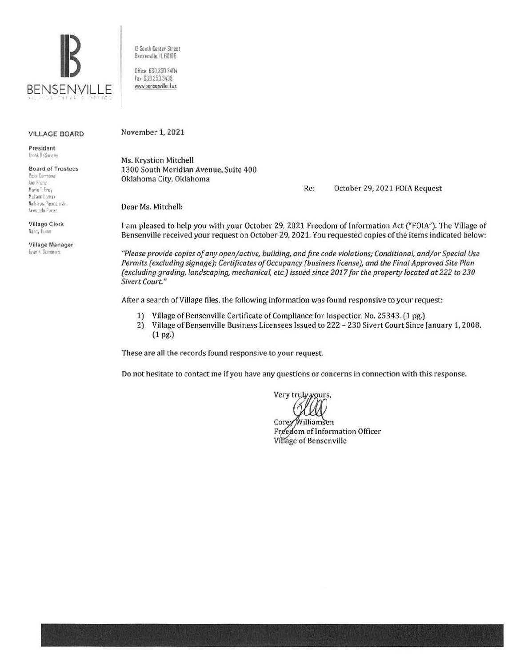

12 South Center Street Benserville IL 60106

Office: 630.350.3404 fax 630 350 3438 www.bensenville.il.us

#### VILLAGE BOARD

President frank lleSimone

#### Board of Trustees

Rosa Cermana An' *lr:mr*  Marie T. Frey McLane Lomax Nicholas Panicola Jr. Armando Perez

Village Clerk Nancy Iluinn

Village Manager Evan K. Summers

November 1, 2021

Ms. Krystion Mitchell 1300 South Meridian Avenue, Suite 400 Oklahoma City, Oklahoma

Re: October 29, 2021 FOIA Request

Dear Ms. Mitchell:

I am pleased to help you with your October 29, 2021 Freedom of Information Act ("FOIA"). The Village of Bensenville received your request on October 29, 2021. You requested copies of the items indicated below:

*"Please provide copies of any openjactive, building, and fire code violations; Conditional, andjor Special Use Permits (excluding signage); Certificates of Occupancy (business license), and the Final Approved Site Plan (excluding grading, landscaping, mechanical, etc.) issued since 2017 for the property located at 222 to 230 Sivert Court "* 

After a search of Village files, the following information was found responsive to your request:

- 1) Village of Bensenville Certificate of Compliance for Inspection No. 25343. (1 pg.)
- 2) Village of Bensenville Business Licensees Issued to 222 230 Sivert Court Since January 1, 2008. (1 pg.)

These are all the records found responsive to your request.

Do not hesitate to contact me if you have any questions or concerns in connection with this response.

Very truly yours,

Corey Williamsen Freedom of Information Officer Village of Bensenville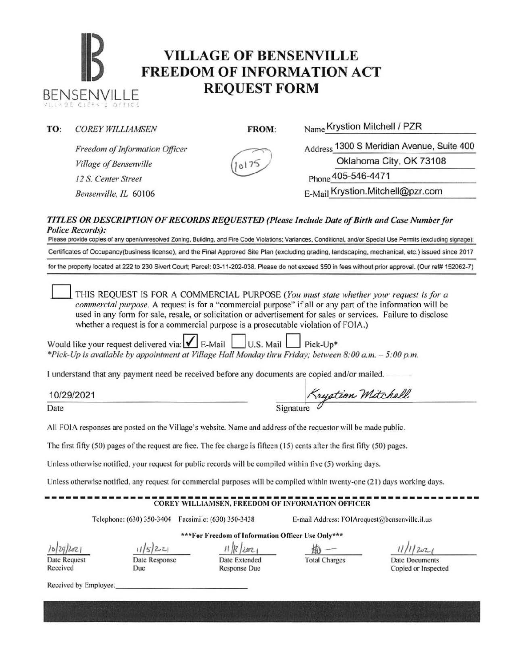# **IB VILLAGE OF BENSENVILLE**<br> **FREEDOM OF INFORMATION ACT** BENSENVILLE **REQUEST FORM**

**TO:** *COREY WILLIAMSEN* **FROM:** Name Krystion Mitchell I PZR



*Village of Bensenville 12 S. Center Street* Phone 405-546-44 71

*Freedom of Information Officer* 

Address 1300 S Meridian Avenue, Suite 400 Oklahoma City, OK 73108 *Bensenville, IL* 60106 **E-Mail Krystion.Mitchell@pzr.com** 

### *TITLES OR DESCRIPTION OF RECORDS REQUESTED (Please Include Date of Birtlt ami Case Number for Police Records):*

Please provide copies of any open/unresolved Zoning, Building, and Fire Code Violations; Variances, Conditional, and/or Special Use Permits (excluding signage); Certificates of Occupancy(business license), and the Final Approved Site Plan (excluding grading, landscaping, mechanical, etc.) issued since 2017 for the property located at 222 to 230 Sivert Court; Parcel: 03-11-202-038. Please do not exceed \$50 in fees without prior approval. (Our ref# 152062-7)

0 THIS REQUEST IS FOR A COMMERCIAL PURPOSE *(You must state whether your request is for a commercial pwpose.* A request is for a "commercial purpose" if all or any part of the information will be used in any form for sale, resale, or solicitation or advertisement for sales or services. Failure to disclose whether a request is for a commercial purpose is a prosecutable violation of FOIA.)

Would like your request delivered via:  $\mathbf{V}$  E-Mail U.S. Mail Pick-Up<sup>\*</sup> *\*Pick-Up is available by appointment at Village Hall Monday thru Friday; between 8:00 a.rn. - 5:00p.m.* 

I understand that any payment need be received before any documents are copied and/or mailed.

10/29/2021

Date

Krystion Mitchell

All FOIA responses are posted on the Village's website. Name and address of the requestor will be made public.

The first fifty  $(50)$  pages of the request are free. The fee charge is fifteen  $(15)$  cents after the first fifty  $(50)$  pages.

Unless otherwise notified. your request for public records will be compiled within five (5) working days.

Unless otherwise notified, any request for commercial purposes will be compiled within twenty-one (21) days working days.

## ------------------------------------------------------------- COREY WILLIAMSEN, FREEDOM OF INFORMATION OFFICER

Telephone: (630) 350-3404 Facsimile: (630) 350-3438 E-mail Address: FOIArequest@bensenville.il.us

\*\*\*For Freedom of Information Officer Use Only\*\*\*

*lo/ZJf)Ul.l*  Date Request

Received

*lth·}z..z.., 11//l/m.., iJh-*Date Response

Due

Date Extended Response Due

Total Charges Date Documents

Copied or Inspected

Received by Employee: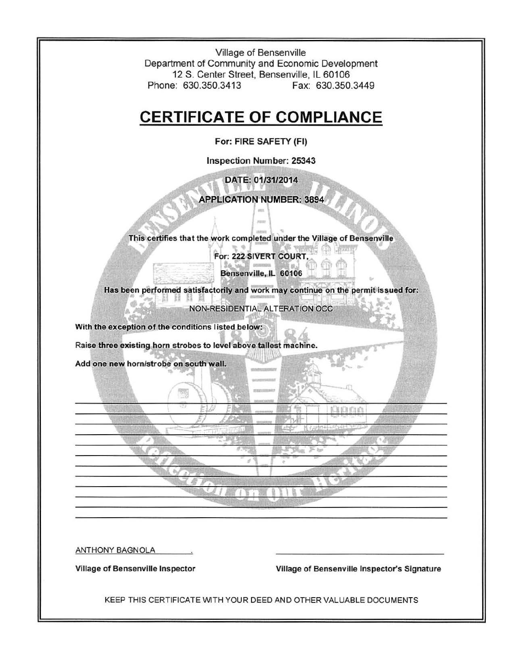Village of Bensenville Department of Community and Economic Development 12 S. Center Street, Bensenville, IL 60106 Phone: 630.350.3413 Fax: 630.350.3449

### **CERTIFICATE OF COMPLIANCE**

For: FIRE SAFETY (FI)

Inspection Number: 25343

DATE: 01/31/2014

# $\frac{1}{2}$

This certifies that the work completed under the Village of Bensenville

For: 222 SIVERT COURT,

Bensenville, IL 60106

Has been performed satisfactorily and work may continue on the permit issued for: **MHN** 

NON-RESIDENTIAL ALTERATION OCC

With the exception of the conditions listed below:

Raise three existing horn strobes to level above tallest machine.

939

"""'~.. t

Add one new horn/strobe on south wall.

ANTHONY BAGNOLA

Village of Bensenville Inspector Village of Bensenville Inspector's Signature

KEEP THIS CERTIFICATE WITH YOUR DEED AND OTHER VALUABLE DOCUMENTS